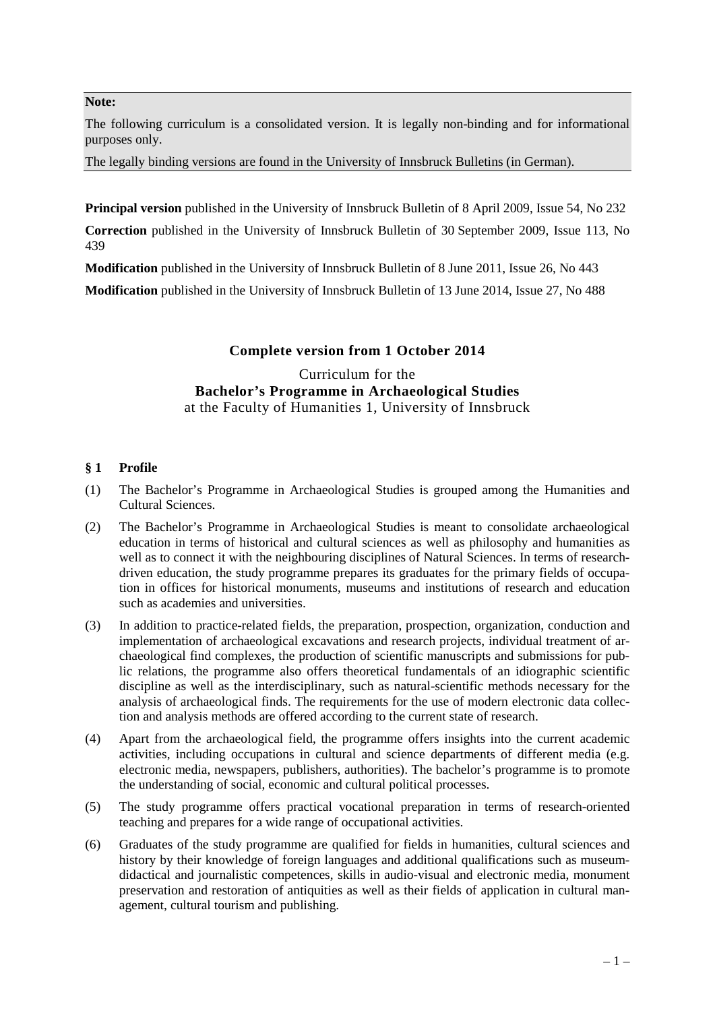### **Note:**

The following curriculum is a consolidated version. It is legally non-binding and for informational purposes only.

The legally binding versions are found in the University of Innsbruck Bulletins (in German).

**Principal version** published in the University of Innsbruck Bulletin of 8 April 2009, Issue 54, No 232

**Correction** published in the University of Innsbruck Bulletin of 30 September 2009, Issue 113, No 439

**Modification** published in the University of Innsbruck Bulletin of 8 June 2011, Issue 26, No 443

**Modification** published in the University of Innsbruck Bulletin of 13 June 2014, Issue 27, No 488

## **Complete version from 1 October 2014**

## Curriculum for the **Bachelor's Programme in Archaeological Studies** at the Faculty of Humanities 1, University of Innsbruck

## **§ 1 Profile**

- (1) The Bachelor's Programme in Archaeological Studies is grouped among the Humanities and Cultural Sciences.
- (2) The Bachelor's Programme in Archaeological Studies is meant to consolidate archaeological education in terms of historical and cultural sciences as well as philosophy and humanities as well as to connect it with the neighbouring disciplines of Natural Sciences. In terms of researchdriven education, the study programme prepares its graduates for the primary fields of occupation in offices for historical monuments, museums and institutions of research and education such as academies and universities.
- (3) In addition to practice-related fields, the preparation, prospection, organization, conduction and implementation of archaeological excavations and research projects, individual treatment of archaeological find complexes, the production of scientific manuscripts and submissions for public relations, the programme also offers theoretical fundamentals of an idiographic scientific discipline as well as the interdisciplinary, such as natural-scientific methods necessary for the analysis of archaeological finds. The requirements for the use of modern electronic data collection and analysis methods are offered according to the current state of research.
- (4) Apart from the archaeological field, the programme offers insights into the current academic activities, including occupations in cultural and science departments of different media (e.g. electronic media, newspapers, publishers, authorities). The bachelor's programme is to promote the understanding of social, economic and cultural political processes.
- (5) The study programme offers practical vocational preparation in terms of research-oriented teaching and prepares for a wide range of occupational activities.
- (6) Graduates of the study programme are qualified for fields in humanities, cultural sciences and history by their knowledge of foreign languages and additional qualifications such as museumdidactical and journalistic competences, skills in audio-visual and electronic media, monument preservation and restoration of antiquities as well as their fields of application in cultural management, cultural tourism and publishing.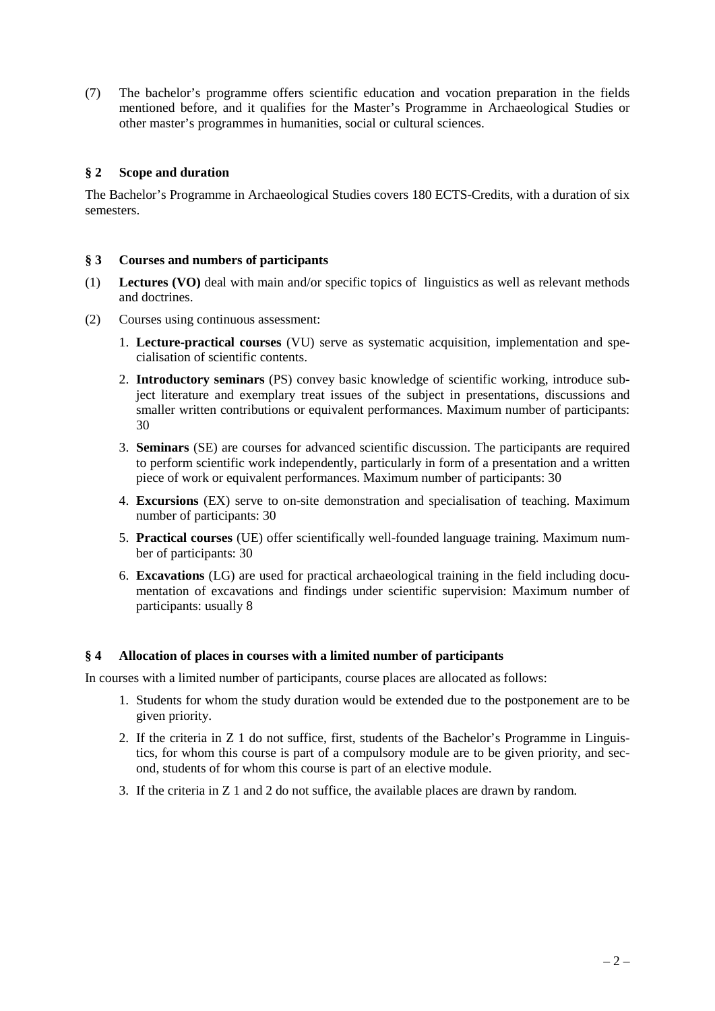(7) The bachelor's programme offers scientific education and vocation preparation in the fields mentioned before, and it qualifies for the Master's Programme in Archaeological Studies or other master's programmes in humanities, social or cultural sciences.

## **§ 2 Scope and duration**

The Bachelor's Programme in Archaeological Studies covers 180 ECTS-Credits, with a duration of six semesters.

### **§ 3 Courses and numbers of participants**

- (1) **Lectures (VO)** deal with main and/or specific topics of linguistics as well as relevant methods and doctrines.
- (2) Courses using continuous assessment:
	- 1. **Lecture-practical courses** (VU) serve as systematic acquisition, implementation and specialisation of scientific contents.
	- 2. **Introductory seminars** (PS) convey basic knowledge of scientific working, introduce subject literature and exemplary treat issues of the subject in presentations, discussions and smaller written contributions or equivalent performances. Maximum number of participants: 30
	- 3. **Seminars** (SE) are courses for advanced scientific discussion. The participants are required to perform scientific work independently, particularly in form of a presentation and a written piece of work or equivalent performances. Maximum number of participants: 30
	- 4. **Excursions** (EX) serve to on-site demonstration and specialisation of teaching. Maximum number of participants: 30
	- 5. **Practical courses** (UE) offer scientifically well-founded language training. Maximum number of participants: 30
	- 6. **Excavations** (LG) are used for practical archaeological training in the field including documentation of excavations and findings under scientific supervision: Maximum number of participants: usually 8

### **§ 4 Allocation of places in courses with a limited number of participants**

In courses with a limited number of participants, course places are allocated as follows:

- 1. Students for whom the study duration would be extended due to the postponement are to be given priority.
- 2. If the criteria in Z 1 do not suffice, first, students of the Bachelor's Programme in Linguistics, for whom this course is part of a compulsory module are to be given priority, and second, students of for whom this course is part of an elective module.
- 3. If the criteria in Z 1 and 2 do not suffice, the available places are drawn by random.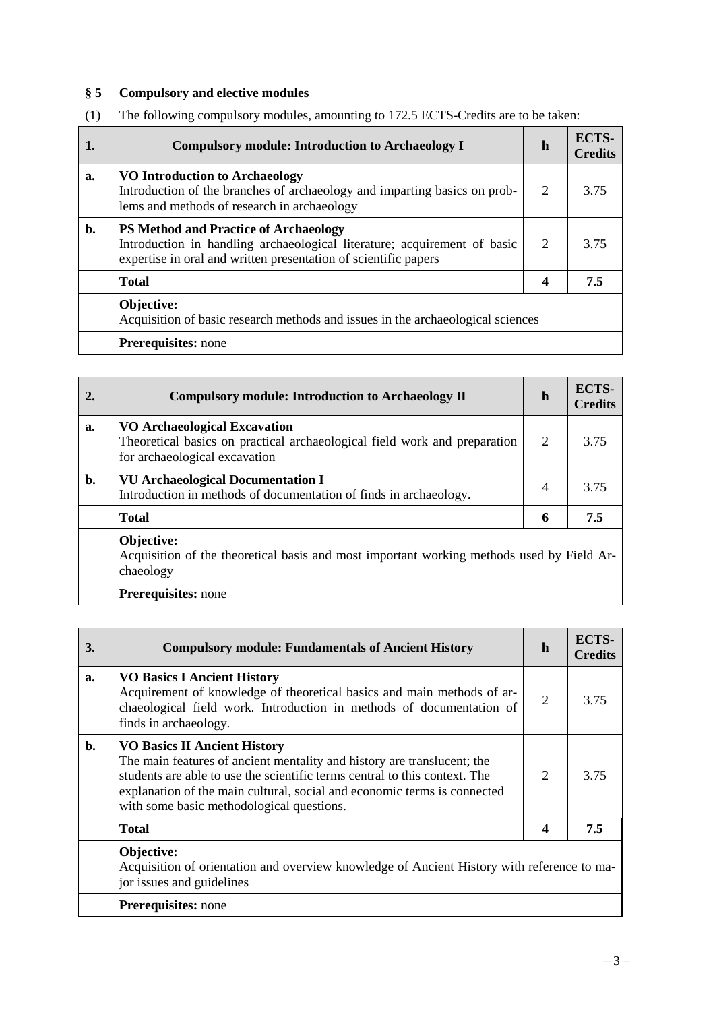# **§ 5 Compulsory and elective modules**

| 1. | <b>Compulsory module: Introduction to Archaeology I</b>                                                                                                                                     | h | ECTS-<br><b>Credits</b> |
|----|---------------------------------------------------------------------------------------------------------------------------------------------------------------------------------------------|---|-------------------------|
| a. | <b>VO Introduction to Archaeology</b><br>Introduction of the branches of archaeology and imparting basics on prob-<br>lems and methods of research in archaeology                           | 2 | 3.75                    |
| b. | <b>PS Method and Practice of Archaeology</b><br>Introduction in handling archaeological literature; acquirement of basic<br>expertise in oral and written presentation of scientific papers | 2 | 3.75                    |
|    | <b>Total</b>                                                                                                                                                                                | 4 | 7.5                     |
|    | Objective:<br>Acquisition of basic research methods and issues in the archaeological sciences                                                                                               |   |                         |
|    | <b>Prerequisites:</b> none                                                                                                                                                                  |   |                         |

| (1) | The following compulsory modules, amounting to 172.5 ECTS-Credits are to be taken: |  |
|-----|------------------------------------------------------------------------------------|--|
|     |                                                                                    |  |

| 2. | <b>Compulsory module: Introduction to Archaeology II</b>                                                                                          | h                           | ECTS-<br><b>Credits</b> |
|----|---------------------------------------------------------------------------------------------------------------------------------------------------|-----------------------------|-------------------------|
| a. | <b>VO Archaeological Excavation</b><br>Theoretical basics on practical archaeological field work and preparation<br>for archaeological excavation | $\mathcal{D}_{\mathcal{L}}$ | 3.75                    |
| b. | <b>VU Archaeological Documentation I</b><br>Introduction in methods of documentation of finds in archaeology.                                     | $\overline{4}$              | 3.75                    |
|    | <b>Total</b>                                                                                                                                      | 6                           | 7.5                     |
|    | Objective:<br>Acquisition of the theoretical basis and most important working methods used by Field Ar-<br>chaeology                              |                             |                         |
|    | <b>Prerequisites:</b> none                                                                                                                        |                             |                         |

| 3.             | <b>Compulsory module: Fundamentals of Ancient History</b>                                                                                                                                                                                                                                                             | h             | ECTS-<br><b>Credits</b> |
|----------------|-----------------------------------------------------------------------------------------------------------------------------------------------------------------------------------------------------------------------------------------------------------------------------------------------------------------------|---------------|-------------------------|
| a.             | <b>VO Basics I Ancient History</b><br>Acquirement of knowledge of theoretical basics and main methods of ar-<br>chaeological field work. Introduction in methods of documentation of<br>finds in archaeology.                                                                                                         | 2             | 3.75                    |
| $\mathbf{b}$ . | <b>VO Basics II Ancient History</b><br>The main features of ancient mentality and history are translucent; the<br>students are able to use the scientific terms central to this context. The<br>explanation of the main cultural, social and economic terms is connected<br>with some basic methodological questions. | $\mathcal{D}$ | 3.75                    |
|                | <b>Total</b>                                                                                                                                                                                                                                                                                                          | 4             | 7.5                     |
|                | Objective:<br>Acquisition of orientation and overview knowledge of Ancient History with reference to ma-<br>jor issues and guidelines                                                                                                                                                                                 |               |                         |
|                | <b>Prerequisites:</b> none                                                                                                                                                                                                                                                                                            |               |                         |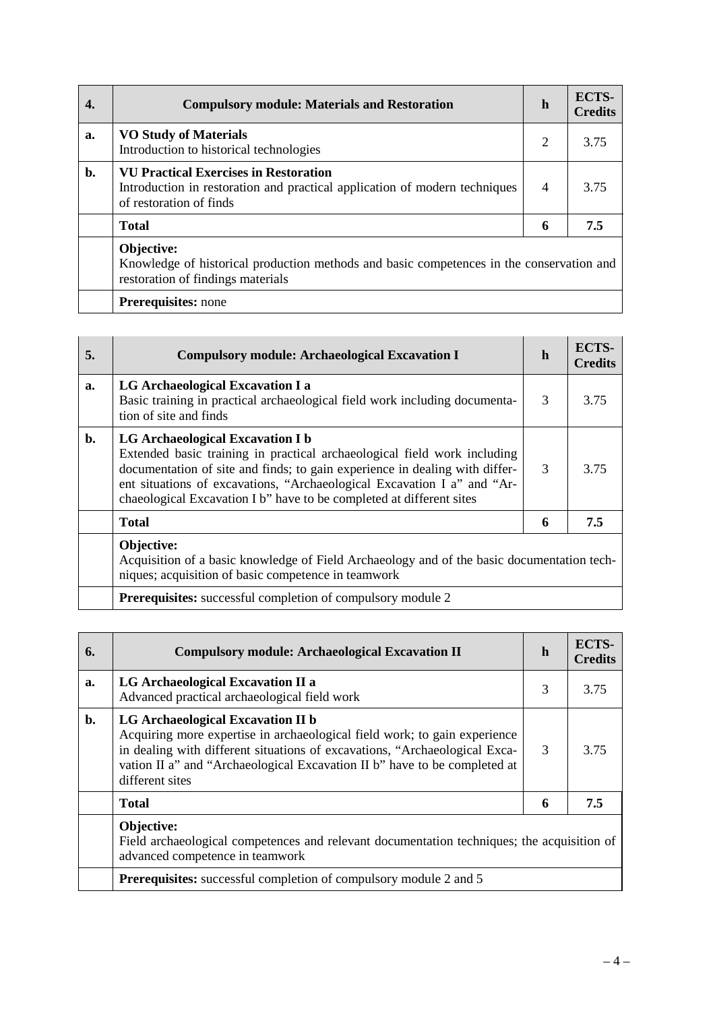|    | <b>Compulsory module: Materials and Restoration</b>                                                                                                   | h              | ECTS-<br><b>Credits</b> |
|----|-------------------------------------------------------------------------------------------------------------------------------------------------------|----------------|-------------------------|
| a. | <b>VO Study of Materials</b><br>Introduction to historical technologies                                                                               | $\overline{2}$ | 3.75                    |
| b. | <b>VU Practical Exercises in Restoration</b><br>Introduction in restoration and practical application of modern techniques<br>of restoration of finds | $\overline{4}$ | 3.75                    |
|    | <b>Total</b>                                                                                                                                          | 6              | 7.5                     |
|    | Objective:<br>Knowledge of historical production methods and basic competences in the conservation and<br>restoration of findings materials           |                |                         |
|    | <b>Prerequisites:</b> none                                                                                                                            |                |                         |

| 5. | <b>Compulsory module: Archaeological Excavation I</b>                                                                                                                                                                                                                                                                                          | $\mathbf h$ | ECTS-<br><b>Credits</b> |
|----|------------------------------------------------------------------------------------------------------------------------------------------------------------------------------------------------------------------------------------------------------------------------------------------------------------------------------------------------|-------------|-------------------------|
| a. | LG Archaeological Excavation I a<br>Basic training in practical archaeological field work including documenta-<br>tion of site and finds                                                                                                                                                                                                       | 3           | 3.75                    |
| b. | LG Archaeological Excavation I b<br>Extended basic training in practical archaeological field work including<br>documentation of site and finds; to gain experience in dealing with differ-<br>ent situations of excavations, "Archaeological Excavation I a" and "Ar-<br>chaeological Excavation I b" have to be completed at different sites | 3           | 3.75                    |
|    | <b>Total</b>                                                                                                                                                                                                                                                                                                                                   | 6           | 7.5                     |
|    | Objective:<br>Acquisition of a basic knowledge of Field Archaeology and of the basic documentation tech-<br>niques; acquisition of basic competence in teamwork                                                                                                                                                                                |             |                         |
|    | <b>Prerequisites:</b> successful completion of compulsory module 2                                                                                                                                                                                                                                                                             |             |                         |

| 6.             | <b>Compulsory module: Archaeological Excavation II</b>                                                                                                                                                                                                                                       | h             | <b>ECTS-</b><br><b>Credits</b> |
|----------------|----------------------------------------------------------------------------------------------------------------------------------------------------------------------------------------------------------------------------------------------------------------------------------------------|---------------|--------------------------------|
| a.             | LG Archaeological Excavation II a<br>Advanced practical archaeological field work                                                                                                                                                                                                            | 3             | 3.75                           |
| $\mathbf{b}$ . | LG Archaeological Excavation II b<br>Acquiring more expertise in archaeological field work; to gain experience<br>in dealing with different situations of excavations, "Archaeological Exca-<br>vation II a" and "Archaeological Excavation II b" have to be completed at<br>different sites | $\mathcal{R}$ | 3.75                           |
|                | <b>Total</b>                                                                                                                                                                                                                                                                                 | 6             | 7.5                            |
|                | Objective:<br>Field archaeological competences and relevant documentation techniques; the acquisition of<br>advanced competence in teamwork                                                                                                                                                  |               |                                |
|                | <b>Prerequisites:</b> successful completion of compulsory module 2 and 5                                                                                                                                                                                                                     |               |                                |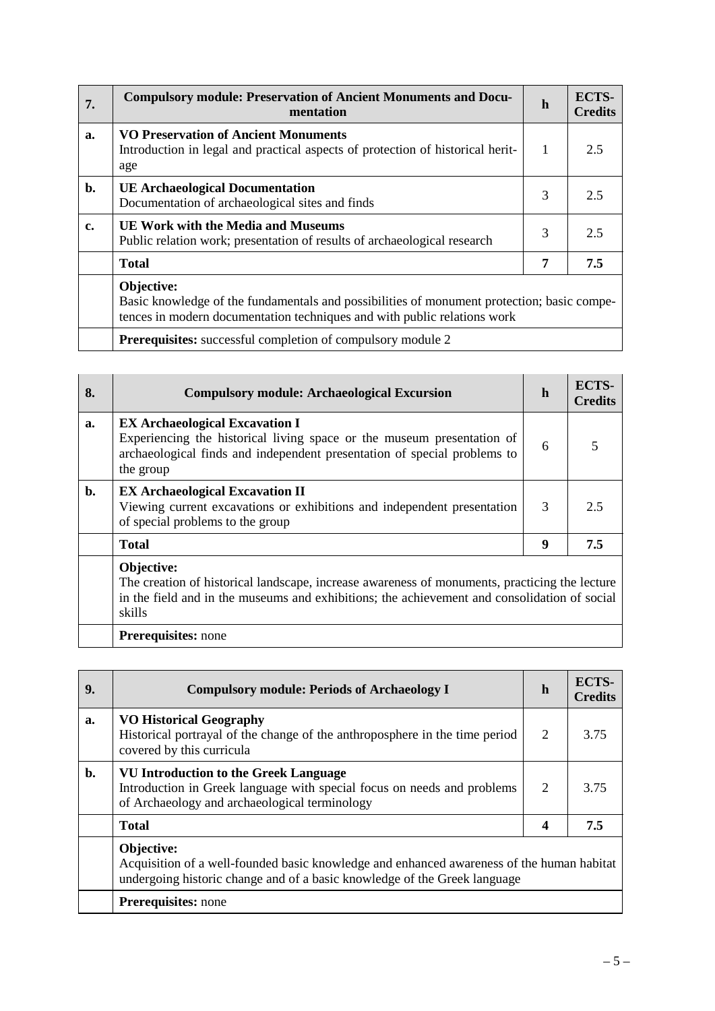| 7. | <b>Compulsory module: Preservation of Ancient Monuments and Docu-</b><br>mentation                                                                                                   | h | ECTS-<br><b>Credits</b> |
|----|--------------------------------------------------------------------------------------------------------------------------------------------------------------------------------------|---|-------------------------|
| a. | <b>VO Preservation of Ancient Monuments</b><br>Introduction in legal and practical aspects of protection of historical herit-<br>age                                                 | 1 | 2.5                     |
| b. | <b>UE Archaeological Documentation</b><br>Documentation of archaeological sites and finds                                                                                            | 3 | 2.5                     |
| c. | <b>UE Work with the Media and Museums</b><br>Public relation work; presentation of results of archaeological research                                                                | 3 | 2.5                     |
|    | <b>Total</b>                                                                                                                                                                         | 7 | 7.5                     |
|    | Objective:<br>Basic knowledge of the fundamentals and possibilities of monument protection; basic compe-<br>tences in modern documentation techniques and with public relations work |   |                         |
|    | <b>Prerequisites:</b> successful completion of compulsory module 2                                                                                                                   |   |                         |

| 8.             | <b>Compulsory module: Archaeological Excursion</b>                                                                                                                                                                    | h | ECTS-<br><b>Credits</b> |
|----------------|-----------------------------------------------------------------------------------------------------------------------------------------------------------------------------------------------------------------------|---|-------------------------|
| a.             | <b>EX Archaeological Excavation I</b><br>Experiencing the historical living space or the museum presentation of<br>archaeological finds and independent presentation of special problems to<br>the group              | 6 |                         |
| $\mathbf{b}$ . | <b>EX Archaeological Excavation II</b><br>Viewing current excavations or exhibitions and independent presentation<br>of special problems to the group                                                                 | 3 | 2.5                     |
|                | <b>Total</b>                                                                                                                                                                                                          | 9 | 7.5                     |
|                | Objective:<br>The creation of historical landscape, increase awareness of monuments, practicing the lecture<br>in the field and in the museums and exhibitions; the achievement and consolidation of social<br>skills |   |                         |
|                | <b>Prerequisites:</b> none                                                                                                                                                                                            |   |                         |

| 9. | <b>Compulsory module: Periods of Archaeology I</b>                                                                                                                                   | h | ECTS-<br><b>Credits</b> |
|----|--------------------------------------------------------------------------------------------------------------------------------------------------------------------------------------|---|-------------------------|
| a. | <b>VO Historical Geography</b><br>Historical portrayal of the change of the anthroposphere in the time period<br>covered by this curricula                                           | 2 | 3.75                    |
| b. | <b>VU Introduction to the Greek Language</b><br>Introduction in Greek language with special focus on needs and problems<br>of Archaeology and archaeological terminology             | 2 | 3.75                    |
|    | <b>Total</b>                                                                                                                                                                         | 4 | 7.5                     |
|    | Objective:<br>Acquisition of a well-founded basic knowledge and enhanced awareness of the human habitat<br>undergoing historic change and of a basic knowledge of the Greek language |   |                         |
|    | <b>Prerequisites:</b> none                                                                                                                                                           |   |                         |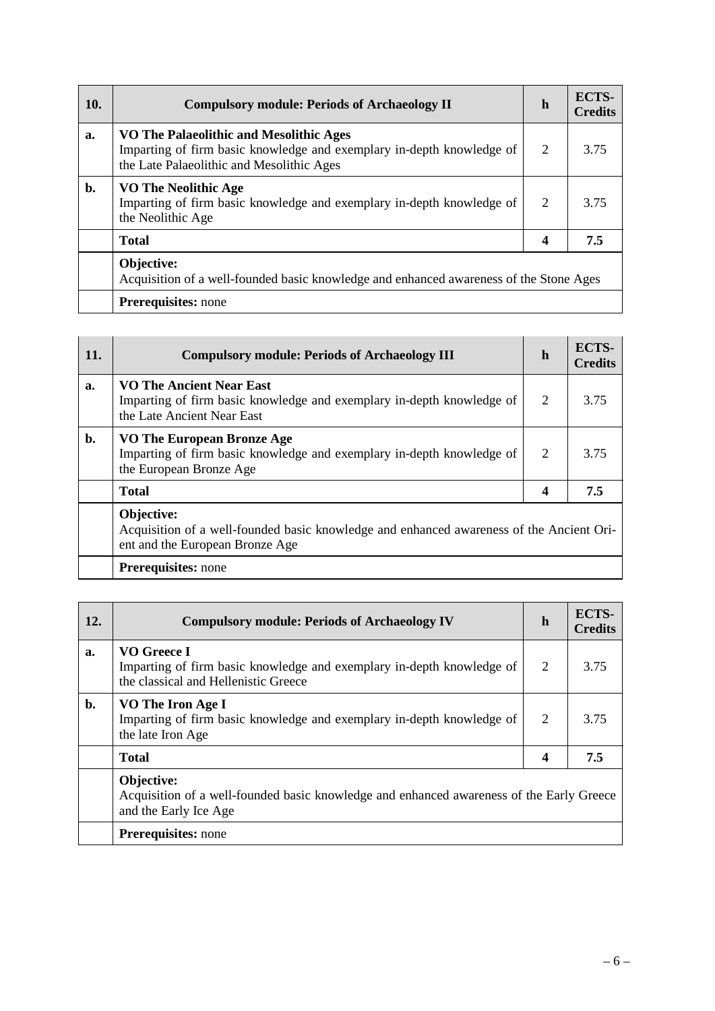| 10.            | <b>Compulsory module: Periods of Archaeology II</b>                                                                                                           | $\mathbf h$    | ECTS-<br><b>Credits</b> |
|----------------|---------------------------------------------------------------------------------------------------------------------------------------------------------------|----------------|-------------------------|
| a.             | VO The Palaeolithic and Mesolithic Ages<br>Imparting of firm basic knowledge and exemplary in-depth knowledge of<br>the Late Palaeolithic and Mesolithic Ages | 2              | 3.75                    |
| $\mathbf{b}$ . | <b>VO The Neolithic Age</b><br>Imparting of firm basic knowledge and exemplary in-depth knowledge of<br>the Neolithic Age                                     | $\overline{2}$ | 3.75                    |
|                | <b>Total</b>                                                                                                                                                  | 4              | 7.5                     |
|                | Objective:<br>Acquisition of a well-founded basic knowledge and enhanced awareness of the Stone Ages                                                          |                |                         |
|                | <b>Prerequisites:</b> none                                                                                                                                    |                |                         |

| 11. | <b>Compulsory module: Periods of Archaeology III</b>                                                                                      | h              | <b>ECTS-</b><br><b>Credits</b> |
|-----|-------------------------------------------------------------------------------------------------------------------------------------------|----------------|--------------------------------|
| a.  | <b>VO The Ancient Near East</b><br>Imparting of firm basic knowledge and exemplary in-depth knowledge of<br>the Late Ancient Near East    | $\overline{2}$ | 3.75                           |
| b.  | <b>VO The European Bronze Age</b><br>Imparting of firm basic knowledge and exemplary in-depth knowledge of<br>the European Bronze Age     | $\overline{2}$ | 3.75                           |
|     | <b>Total</b>                                                                                                                              | 4              | 7.5                            |
|     | Objective:<br>Acquisition of a well-founded basic knowledge and enhanced awareness of the Ancient Ori-<br>ent and the European Bronze Age |                |                                |
|     | <b>Prerequisites:</b> none                                                                                                                |                |                                |

| 12.            | <b>Compulsory module: Periods of Archaeology IV</b>                                                                             | $\mathbf h$ | ECTS-<br><b>Credits</b> |
|----------------|---------------------------------------------------------------------------------------------------------------------------------|-------------|-------------------------|
| a.             | VO Greece I<br>Imparting of firm basic knowledge and exemplary in-depth knowledge of<br>the classical and Hellenistic Greece    | 2           | 3.75                    |
| $\mathbf{b}$ . | VO The Iron Age I<br>Imparting of firm basic knowledge and exemplary in-depth knowledge of<br>the late Iron Age                 | 2           | 3.75                    |
|                | <b>Total</b>                                                                                                                    | 4           | 7.5                     |
|                | Objective:<br>Acquisition of a well-founded basic knowledge and enhanced awareness of the Early Greece<br>and the Early Ice Age |             |                         |
|                | <b>Prerequisites:</b> none                                                                                                      |             |                         |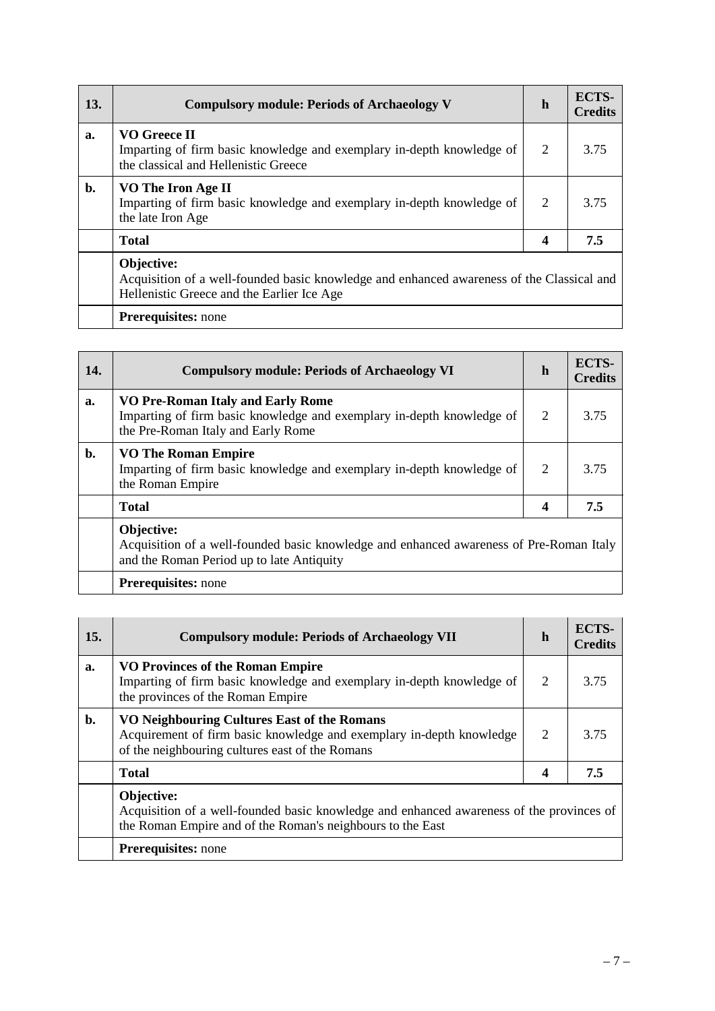| 13.            | <b>Compulsory module: Periods of Archaeology V</b>                                                                                                    | $\mathbf h$ | ECTS-<br><b>Credits</b> |
|----------------|-------------------------------------------------------------------------------------------------------------------------------------------------------|-------------|-------------------------|
| a.             | <b>VO Greece II</b><br>Imparting of firm basic knowledge and exemplary in-depth knowledge of<br>the classical and Hellenistic Greece                  | 2           | 3.75                    |
| $\mathbf{b}$ . | VO The Iron Age II<br>Imparting of firm basic knowledge and exemplary in-depth knowledge of<br>the late Iron Age                                      | 2           | 3.75                    |
|                | <b>Total</b>                                                                                                                                          | 4           | 7.5                     |
|                | Objective:<br>Acquisition of a well-founded basic knowledge and enhanced awareness of the Classical and<br>Hellenistic Greece and the Earlier Ice Age |             |                         |
|                | <b>Prerequisites:</b> none                                                                                                                            |             |                         |

| 14.            | <b>Compulsory module: Periods of Archaeology VI</b>                                                                                                | h              | ECTS-<br><b>Credits</b> |
|----------------|----------------------------------------------------------------------------------------------------------------------------------------------------|----------------|-------------------------|
| a.             | VO Pre-Roman Italy and Early Rome<br>Imparting of firm basic knowledge and exemplary in-depth knowledge of<br>the Pre-Roman Italy and Early Rome   | $\overline{2}$ | 3.75                    |
| $\mathbf{b}$ . | <b>VO The Roman Empire</b><br>Imparting of firm basic knowledge and exemplary in-depth knowledge of<br>the Roman Empire                            | $\overline{2}$ | 3.75                    |
|                | <b>Total</b>                                                                                                                                       | 4              | 7.5                     |
|                | Objective:<br>Acquisition of a well-founded basic knowledge and enhanced awareness of Pre-Roman Italy<br>and the Roman Period up to late Antiquity |                |                         |
|                | <b>Prerequisites:</b> none                                                                                                                         |                |                         |

| 15.            | <b>Compulsory module: Periods of Archaeology VII</b>                                                                                                                   | h | ECTS-<br><b>Credits</b> |
|----------------|------------------------------------------------------------------------------------------------------------------------------------------------------------------------|---|-------------------------|
| a.             | <b>VO Provinces of the Roman Empire</b><br>Imparting of firm basic knowledge and exemplary in-depth knowledge of<br>the provinces of the Roman Empire                  | 2 | 3.75                    |
| $\mathbf{b}$ . | VO Neighbouring Cultures East of the Romans<br>Acquirement of firm basic knowledge and exemplary in-depth knowledge<br>of the neighbouring cultures east of the Romans | 2 | 3.75                    |
|                | <b>Total</b>                                                                                                                                                           | 4 | 7.5                     |
|                | Objective:<br>Acquisition of a well-founded basic knowledge and enhanced awareness of the provinces of<br>the Roman Empire and of the Roman's neighbours to the East   |   |                         |
|                | <b>Prerequisites:</b> none                                                                                                                                             |   |                         |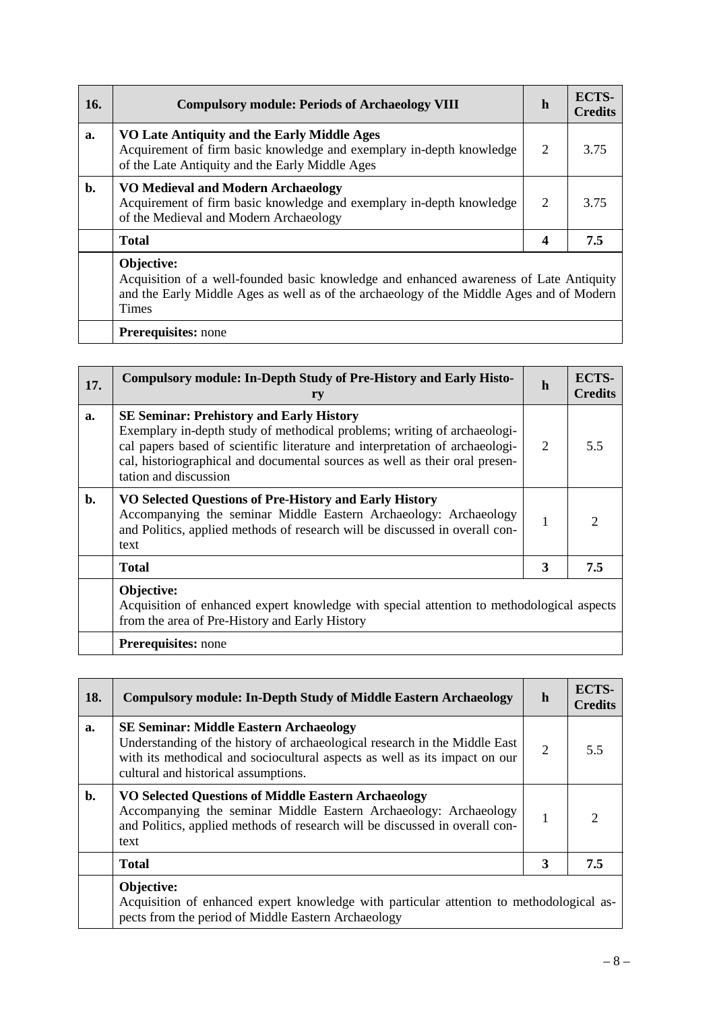| 16.            | <b>Compulsory module: Periods of Archaeology VIII</b>                                                                                                                                                            | $\mathbf h$ | ECTS-<br><b>Credits</b> |
|----------------|------------------------------------------------------------------------------------------------------------------------------------------------------------------------------------------------------------------|-------------|-------------------------|
| a.             | VO Late Antiquity and the Early Middle Ages<br>Acquirement of firm basic knowledge and exemplary in-depth knowledge<br>of the Late Antiquity and the Early Middle Ages                                           | 2           | 3.75                    |
| $\mathbf{b}$ . | VO Medieval and Modern Archaeology<br>Acquirement of firm basic knowledge and exemplary in-depth knowledge<br>of the Medieval and Modern Archaeology                                                             | 2           | 3.75                    |
|                | <b>Total</b>                                                                                                                                                                                                     | 4           | 7.5                     |
|                | Objective:<br>Acquisition of a well-founded basic knowledge and enhanced awareness of Late Antiquity<br>and the Early Middle Ages as well as of the archaeology of the Middle Ages and of Modern<br><b>Times</b> |             |                         |

**Prerequisites:** none

| 17. | <b>Compulsory module: In-Depth Study of Pre-History and Early Histo-</b><br>ry                                                                                                                                                                                                                                      | h | ECTS-<br><b>Credits</b> |
|-----|---------------------------------------------------------------------------------------------------------------------------------------------------------------------------------------------------------------------------------------------------------------------------------------------------------------------|---|-------------------------|
| a.  | <b>SE Seminar: Prehistory and Early History</b><br>Exemplary in-depth study of methodical problems; writing of archaeologi-<br>cal papers based of scientific literature and interpretation of archaeologi-<br>cal, historiographical and documental sources as well as their oral presen-<br>tation and discussion | 2 | 55                      |
| b.  | VO Selected Questions of Pre-History and Early History<br>Accompanying the seminar Middle Eastern Archaeology: Archaeology<br>and Politics, applied methods of research will be discussed in overall con-<br>text                                                                                                   |   |                         |
|     | <b>Total</b>                                                                                                                                                                                                                                                                                                        | 3 | 7.5                     |
|     | Objective:<br>Acquisition of enhanced expert knowledge with special attention to methodological aspects<br>from the area of Pre-History and Early History                                                                                                                                                           |   |                         |

**Prerequisites:** none

| 18. | <b>Compulsory module: In-Depth Study of Middle Eastern Archaeology</b>                                                                                                                                                                            | $\mathbf h$    | ECTS-<br><b>Credits</b> |
|-----|---------------------------------------------------------------------------------------------------------------------------------------------------------------------------------------------------------------------------------------------------|----------------|-------------------------|
| a.  | <b>SE Seminar: Middle Eastern Archaeology</b><br>Understanding of the history of archaeological research in the Middle East<br>with its methodical and sociocultural aspects as well as its impact on our<br>cultural and historical assumptions. | $\overline{2}$ | 5.5                     |
| b.  | <b>VO Selected Questions of Middle Eastern Archaeology</b><br>Accompanying the seminar Middle Eastern Archaeology: Archaeology<br>and Politics, applied methods of research will be discussed in overall con-<br>text                             | 1              | ∍                       |
|     | <b>Total</b>                                                                                                                                                                                                                                      | 3              | 7.5                     |
|     | Objective:<br>Acquisition of enhanced expert knowledge with particular attention to methodological as-<br>pects from the period of Middle Eastern Archaeology                                                                                     |                |                         |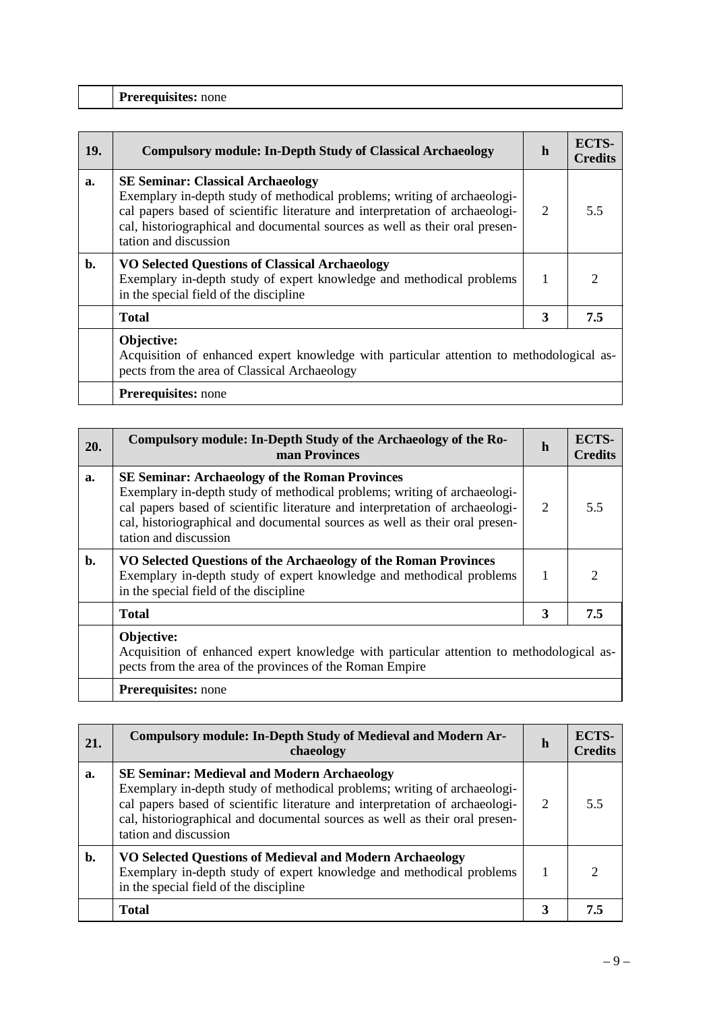|  | <b>Prerequisites:</b> none |  |
|--|----------------------------|--|
|--|----------------------------|--|

| 19. | <b>Compulsory module: In-Depth Study of Classical Archaeology</b>                                                                                                                                                                                                                                            | h | ECTS-<br><b>Credits</b> |
|-----|--------------------------------------------------------------------------------------------------------------------------------------------------------------------------------------------------------------------------------------------------------------------------------------------------------------|---|-------------------------|
| a.  | <b>SE Seminar: Classical Archaeology</b><br>Exemplary in-depth study of methodical problems; writing of archaeologi-<br>cal papers based of scientific literature and interpretation of archaeologi-<br>cal, historiographical and documental sources as well as their oral presen-<br>tation and discussion | 2 | 5.5                     |
| b.  | <b>VO Selected Questions of Classical Archaeology</b><br>Exemplary in-depth study of expert knowledge and methodical problems<br>in the special field of the discipline                                                                                                                                      |   |                         |
|     | <b>Total</b>                                                                                                                                                                                                                                                                                                 | 3 | 7.5                     |
|     | Objective:<br>Acquisition of enhanced expert knowledge with particular attention to methodological as-<br>pects from the area of Classical Archaeology                                                                                                                                                       |   |                         |

**Prerequisites:** none

| 20. | Compulsory module: In-Depth Study of the Archaeology of the Ro-<br>man Provinces                                                                                                                                                                                                                                          | h | ECTS-<br><b>Credits</b>     |
|-----|---------------------------------------------------------------------------------------------------------------------------------------------------------------------------------------------------------------------------------------------------------------------------------------------------------------------------|---|-----------------------------|
| a.  | <b>SE Seminar: Archaeology of the Roman Provinces</b><br>Exemplary in-depth study of methodical problems; writing of archaeologi-<br>cal papers based of scientific literature and interpretation of archaeologi-<br>cal, historiographical and documental sources as well as their oral presen-<br>tation and discussion | 2 | 5.5                         |
| b.  | VO Selected Questions of the Archaeology of the Roman Provinces<br>Exemplary in-depth study of expert knowledge and methodical problems<br>in the special field of the discipline                                                                                                                                         |   | $\mathcal{D}_{\mathcal{L}}$ |
|     | <b>Total</b>                                                                                                                                                                                                                                                                                                              | 3 | 7.5                         |
|     | Objective:<br>Acquisition of enhanced expert knowledge with particular attention to methodological as-<br>pects from the area of the provinces of the Roman Empire                                                                                                                                                        |   |                             |
|     | <b>Prerequisites:</b> none                                                                                                                                                                                                                                                                                                |   |                             |

| 21. | Compulsory module: In-Depth Study of Medieval and Modern Ar-<br>chaeology                                                                                                                                                                                                                                              | h | ECTS-<br><b>Credits</b> |
|-----|------------------------------------------------------------------------------------------------------------------------------------------------------------------------------------------------------------------------------------------------------------------------------------------------------------------------|---|-------------------------|
| a.  | <b>SE Seminar: Medieval and Modern Archaeology</b><br>Exemplary in-depth study of methodical problems; writing of archaeologi-<br>cal papers based of scientific literature and interpretation of archaeologi-<br>cal, historiographical and documental sources as well as their oral presen-<br>tation and discussion | 2 | 5.5                     |
| b.  | VO Selected Questions of Medieval and Modern Archaeology<br>Exemplary in-depth study of expert knowledge and methodical problems<br>in the special field of the discipline                                                                                                                                             |   |                         |
|     | <b>Total</b>                                                                                                                                                                                                                                                                                                           | 3 | 7.5                     |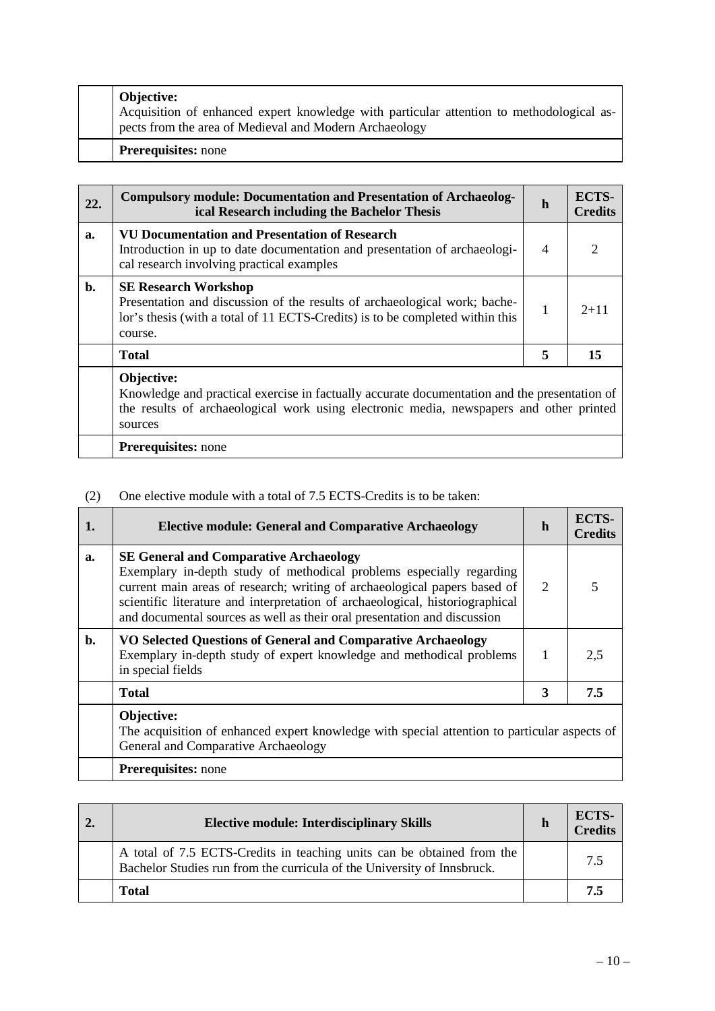|  | <b>Objective:</b><br>Acquisition of enhanced expert knowledge with particular attention to methodological as-<br>pects from the area of Medieval and Modern Archaeology |
|--|-------------------------------------------------------------------------------------------------------------------------------------------------------------------------|
|  | <b>Prerequisites:</b> none                                                                                                                                              |

| 22.            | <b>Compulsory module: Documentation and Presentation of Archaeolog-</b><br>ical Research including the Bachelor Thesis                                                                               | h                                                                                                                                                                                       | ECTS-<br><b>Credits</b> |
|----------------|------------------------------------------------------------------------------------------------------------------------------------------------------------------------------------------------------|-----------------------------------------------------------------------------------------------------------------------------------------------------------------------------------------|-------------------------|
| a.             | <b>VU Documentation and Presentation of Research</b><br>Introduction in up to date documentation and presentation of archaeologi-<br>cal research involving practical examples                       | 4                                                                                                                                                                                       |                         |
| $\mathbf{b}$ . | <b>SE Research Workshop</b><br>Presentation and discussion of the results of archaeological work; bache-<br>lor's thesis (with a total of 11 ECTS-Credits) is to be completed within this<br>course. | 1                                                                                                                                                                                       | $2+11$                  |
|                | <b>Total</b>                                                                                                                                                                                         | 5                                                                                                                                                                                       | 15                      |
|                | Objective:<br>sources                                                                                                                                                                                | Knowledge and practical exercise in factually accurate documentation and the presentation of<br>the results of archaeological work using electronic media, newspapers and other printed |                         |
|                | <b>Prerequisites:</b> none                                                                                                                                                                           |                                                                                                                                                                                         |                         |

## (2) One elective module with a total of 7.5 ECTS-Credits is to be taken:

| 1.    | <b>Elective module: General and Comparative Archaeology</b>                                                                                                                                                                                                                                                                                                     | h | ECTS-<br><b>Credits</b> |
|-------|-----------------------------------------------------------------------------------------------------------------------------------------------------------------------------------------------------------------------------------------------------------------------------------------------------------------------------------------------------------------|---|-------------------------|
| a.    | <b>SE General and Comparative Archaeology</b><br>Exemplary in-depth study of methodical problems especially regarding<br>current main areas of research; writing of archaeological papers based of<br>scientific literature and interpretation of archaeological, historiographical<br>and documental sources as well as their oral presentation and discussion | 2 |                         |
| $b$ . | VO Selected Questions of General and Comparative Archaeology<br>Exemplary in-depth study of expert knowledge and methodical problems<br>in special fields                                                                                                                                                                                                       | 1 | 2,5                     |
|       | <b>Total</b>                                                                                                                                                                                                                                                                                                                                                    | 3 | 7.5                     |
|       | Objective:<br>The acquisition of enhanced expert knowledge with special attention to particular aspects of<br>General and Comparative Archaeology                                                                                                                                                                                                               |   |                         |
|       | Prerequisites: none                                                                                                                                                                                                                                                                                                                                             |   |                         |

| <b>Elective module: Interdisciplinary Skills</b>                                                                                                  | h | ECTS-<br>$C$ redits |
|---------------------------------------------------------------------------------------------------------------------------------------------------|---|---------------------|
| A total of 7.5 ECTS-Credits in teaching units can be obtained from the<br>Bachelor Studies run from the curricula of the University of Innsbruck. |   | 75                  |
| <b>Total</b>                                                                                                                                      |   |                     |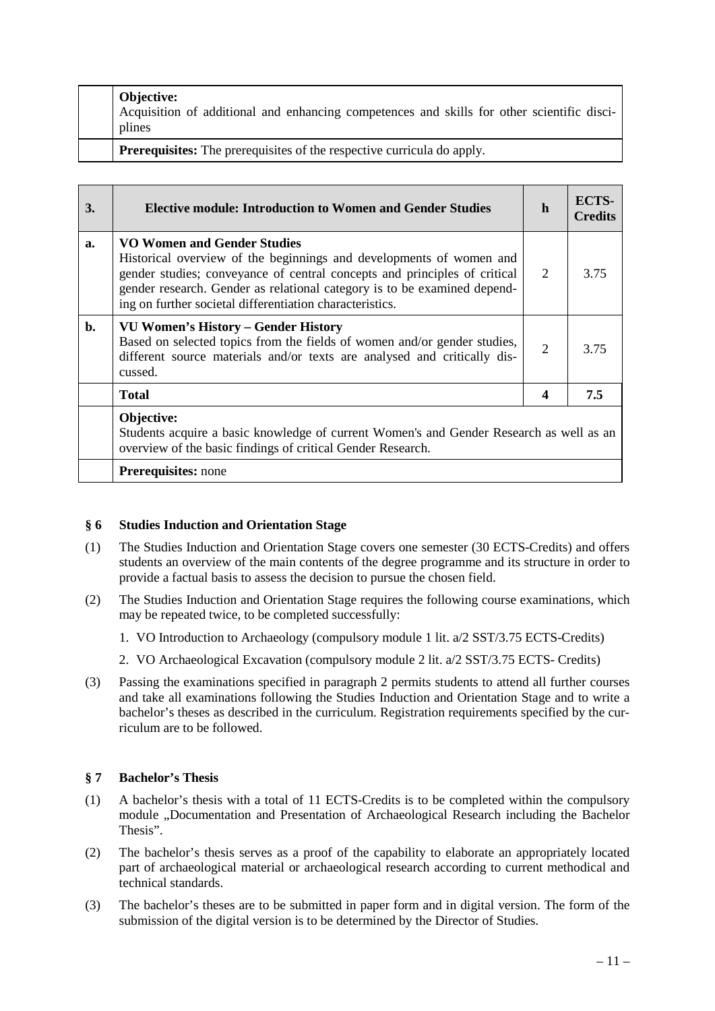|  | <b>Objective:</b><br>Acquisition of additional and enhancing competences and skills for other scientific disci-<br>plines |
|--|---------------------------------------------------------------------------------------------------------------------------|
|  | <b>Prerequisites:</b> The prerequisites of the respective curricula do apply.                                             |

| 3. | <b>Elective module: Introduction to Women and Gender Studies</b>                                                                                                                                                                                                                                                               | h                           | ECTS-<br><b>Credits</b> |
|----|--------------------------------------------------------------------------------------------------------------------------------------------------------------------------------------------------------------------------------------------------------------------------------------------------------------------------------|-----------------------------|-------------------------|
| a. | <b>VO Women and Gender Studies</b><br>Historical overview of the beginnings and developments of women and<br>gender studies; conveyance of central concepts and principles of critical<br>gender research. Gender as relational category is to be examined depend-<br>ing on further societal differentiation characteristics. | $\mathcal{D}_{\mathcal{L}}$ | 3.75                    |
| b. | <b>VU Women's History – Gender History</b><br>Based on selected topics from the fields of women and/or gender studies,<br>different source materials and/or texts are analysed and critically dis-<br>cussed.                                                                                                                  | $\overline{2}$              | 3.75                    |
|    | <b>Total</b>                                                                                                                                                                                                                                                                                                                   | 4                           | 7.5                     |
|    | <b>Objective:</b><br>Students acquire a basic knowledge of current Women's and Gender Research as well as an<br>overview of the basic findings of critical Gender Research.                                                                                                                                                    |                             |                         |
|    | <b>Prerequisites:</b> none                                                                                                                                                                                                                                                                                                     |                             |                         |

### **§ 6 Studies Induction and Orientation Stage**

- (1) The Studies Induction and Orientation Stage covers one semester (30 ECTS-Credits) and offers students an overview of the main contents of the degree programme and its structure in order to provide a factual basis to assess the decision to pursue the chosen field.
- (2) The Studies Induction and Orientation Stage requires the following course examinations, which may be repeated twice, to be completed successfully:
	- 1. VO Introduction to Archaeology (compulsory module 1 lit. a/2 SST/3.75 ECTS-Credits)
	- 2. VO Archaeological Excavation (compulsory module 2 lit. a/2 SST/3.75 ECTS- Credits)
- (3) Passing the examinations specified in paragraph 2 permits students to attend all further courses and take all examinations following the Studies Induction and Orientation Stage and to write a bachelor's theses as described in the curriculum. Registration requirements specified by the curriculum are to be followed.

## **§ 7 Bachelor's Thesis**

- (1) A bachelor's thesis with a total of 11 ECTS-Credits is to be completed within the compulsory module "Documentation and Presentation of Archaeological Research including the Bachelor Thesis".
- (2) The bachelor's thesis serves as a proof of the capability to elaborate an appropriately located part of archaeological material or archaeological research according to current methodical and technical standards.
- (3) The bachelor's theses are to be submitted in paper form and in digital version. The form of the submission of the digital version is to be determined by the Director of Studies.